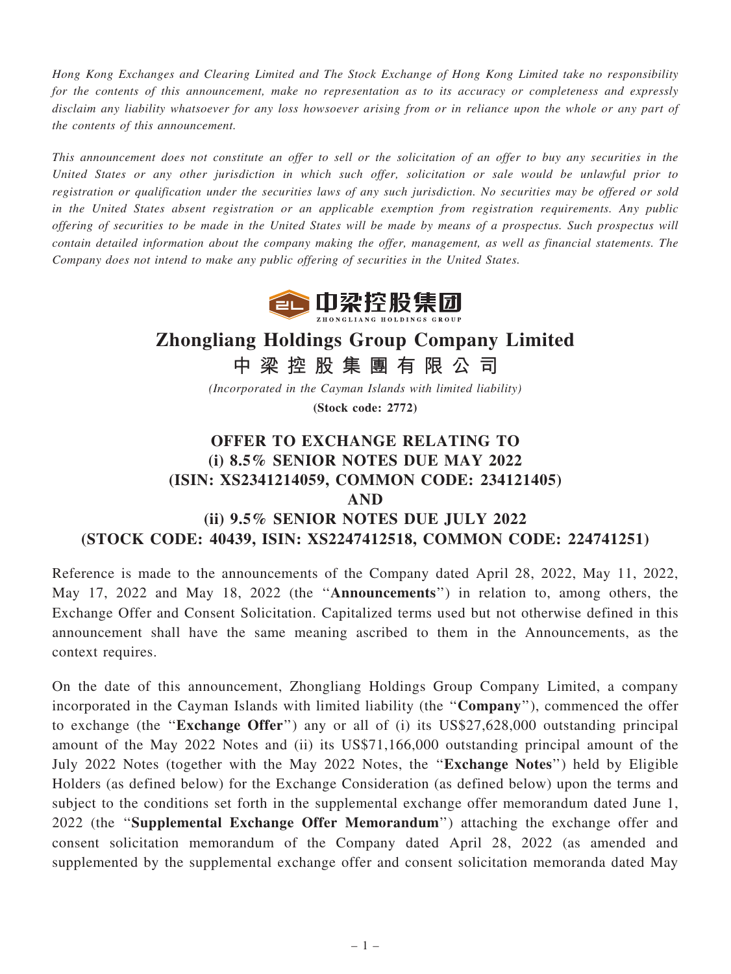Hong Kong Exchanges and Clearing Limited and The Stock Exchange of Hong Kong Limited take no responsibility for the contents of this announcement, make no representation as to its accuracy or completeness and expressly disclaim any liability whatsoever for any loss howsoever arising from or in reliance upon the whole or any part of the contents of this announcement.

This announcement does not constitute an offer to sell or the solicitation of an offer to buy any securities in the United States or any other jurisdiction in which such offer, solicitation or sale would be unlawful prior to registration or qualification under the securities laws of any such jurisdiction. No securities may be offered or sold in the United States absent registration or an applicable exemption from registration requirements. Any public offering of securities to be made in the United States will be made by means of a prospectus. Such prospectus will contain detailed information about the company making the offer, management, as well as financial statements. The Company does not intend to make any public offering of securities in the United States.



# Zhongliang Holdings Group Company Limited

中 梁 控 股 集 團 有 限 公 司

(Incorporated in the Cayman Islands with limited liability) (Stock code: 2772)

# OFFER TO EXCHANGE RELATING TO (i) 8.5% SENIOR NOTES DUE MAY 2022 (ISIN: XS2341214059, COMMON CODE: 234121405) AND (ii) 9.5% SENIOR NOTES DUE JULY 2022 (STOCK CODE: 40439, ISIN: XS2247412518, COMMON CODE: 224741251)

Reference is made to the announcements of the Company dated April 28, 2022, May 11, 2022, May 17, 2022 and May 18, 2022 (the ''Announcements'') in relation to, among others, the Exchange Offer and Consent Solicitation. Capitalized terms used but not otherwise defined in this announcement shall have the same meaning ascribed to them in the Announcements, as the context requires.

On the date of this announcement, Zhongliang Holdings Group Company Limited, a company incorporated in the Cayman Islands with limited liability (the ''Company''), commenced the offer to exchange (the ''Exchange Offer'') any or all of (i) its US\$27,628,000 outstanding principal amount of the May 2022 Notes and (ii) its US\$71,166,000 outstanding principal amount of the July 2022 Notes (together with the May 2022 Notes, the ''Exchange Notes'') held by Eligible Holders (as defined below) for the Exchange Consideration (as defined below) upon the terms and subject to the conditions set forth in the supplemental exchange offer memorandum dated June 1, 2022 (the ''Supplemental Exchange Offer Memorandum'') attaching the exchange offer and consent solicitation memorandum of the Company dated April 28, 2022 (as amended and supplemented by the supplemental exchange offer and consent solicitation memoranda dated May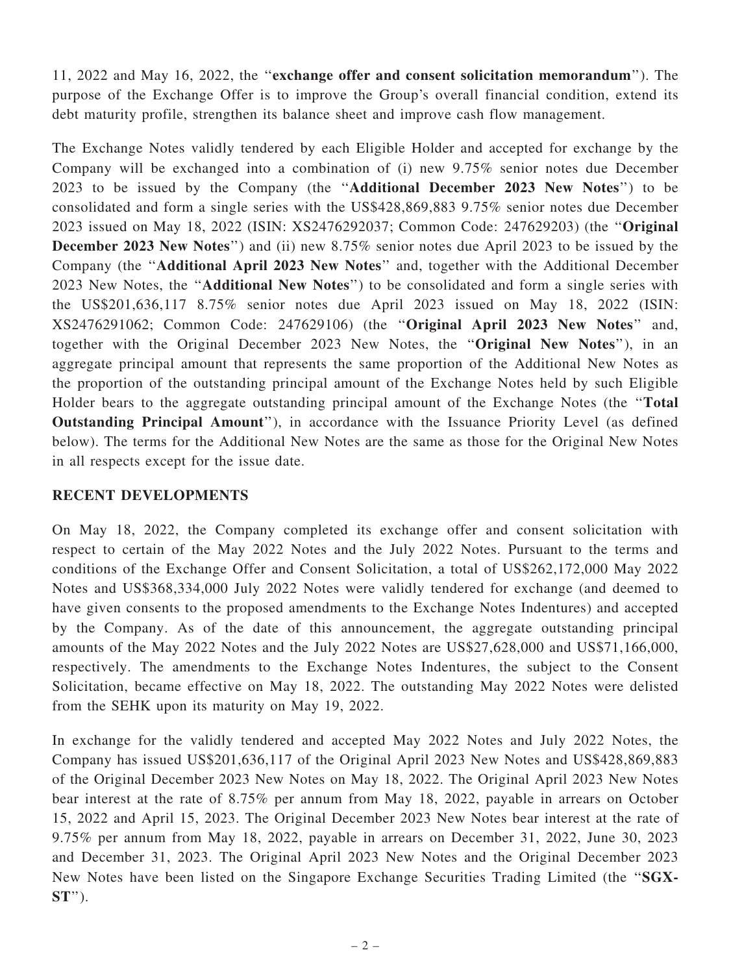11, 2022 and May 16, 2022, the ''exchange offer and consent solicitation memorandum''). The purpose of the Exchange Offer is to improve the Group's overall financial condition, extend its debt maturity profile, strengthen its balance sheet and improve cash flow management.

The Exchange Notes validly tendered by each Eligible Holder and accepted for exchange by the Company will be exchanged into a combination of (i) new 9.75% senior notes due December 2023 to be issued by the Company (the ''Additional December 2023 New Notes'') to be consolidated and form a single series with the US\$428,869,883 9.75% senior notes due December 2023 issued on May 18, 2022 (ISIN: XS2476292037; Common Code: 247629203) (the ''Original December 2023 New Notes'') and (ii) new 8.75% senior notes due April 2023 to be issued by the Company (the ''Additional April 2023 New Notes'' and, together with the Additional December 2023 New Notes, the ''Additional New Notes'') to be consolidated and form a single series with the US\$201,636,117 8.75% senior notes due April 2023 issued on May 18, 2022 (ISIN: XS2476291062; Common Code: 247629106) (the ''Original April 2023 New Notes'' and, together with the Original December 2023 New Notes, the ''Original New Notes''), in an aggregate principal amount that represents the same proportion of the Additional New Notes as the proportion of the outstanding principal amount of the Exchange Notes held by such Eligible Holder bears to the aggregate outstanding principal amount of the Exchange Notes (the "Total Outstanding Principal Amount''), in accordance with the Issuance Priority Level (as defined below). The terms for the Additional New Notes are the same as those for the Original New Notes in all respects except for the issue date.

## RECENT DEVELOPMENTS

On May 18, 2022, the Company completed its exchange offer and consent solicitation with respect to certain of the May 2022 Notes and the July 2022 Notes. Pursuant to the terms and conditions of the Exchange Offer and Consent Solicitation, a total of US\$262,172,000 May 2022 Notes and US\$368,334,000 July 2022 Notes were validly tendered for exchange (and deemed to have given consents to the proposed amendments to the Exchange Notes Indentures) and accepted by the Company. As of the date of this announcement, the aggregate outstanding principal amounts of the May 2022 Notes and the July 2022 Notes are US\$27,628,000 and US\$71,166,000, respectively. The amendments to the Exchange Notes Indentures, the subject to the Consent Solicitation, became effective on May 18, 2022. The outstanding May 2022 Notes were delisted from the SEHK upon its maturity on May 19, 2022.

In exchange for the validly tendered and accepted May 2022 Notes and July 2022 Notes, the Company has issued US\$201,636,117 of the Original April 2023 New Notes and US\$428,869,883 of the Original December 2023 New Notes on May 18, 2022. The Original April 2023 New Notes bear interest at the rate of 8.75% per annum from May 18, 2022, payable in arrears on October 15, 2022 and April 15, 2023. The Original December 2023 New Notes bear interest at the rate of 9.75% per annum from May 18, 2022, payable in arrears on December 31, 2022, June 30, 2023 and December 31, 2023. The Original April 2023 New Notes and the Original December 2023 New Notes have been listed on the Singapore Exchange Securities Trading Limited (the ''SGX-ST'').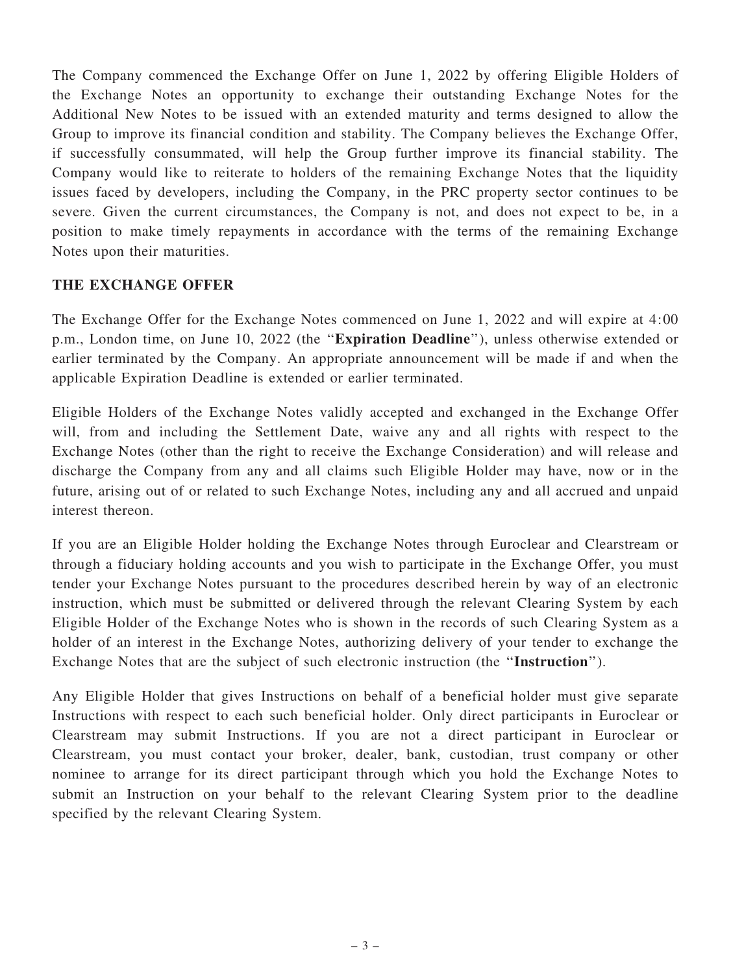The Company commenced the Exchange Offer on June 1, 2022 by offering Eligible Holders of the Exchange Notes an opportunity to exchange their outstanding Exchange Notes for the Additional New Notes to be issued with an extended maturity and terms designed to allow the Group to improve its financial condition and stability. The Company believes the Exchange Offer, if successfully consummated, will help the Group further improve its financial stability. The Company would like to reiterate to holders of the remaining Exchange Notes that the liquidity issues faced by developers, including the Company, in the PRC property sector continues to be severe. Given the current circumstances, the Company is not, and does not expect to be, in a position to make timely repayments in accordance with the terms of the remaining Exchange Notes upon their maturities.

## THE EXCHANGE OFFER

The Exchange Offer for the Exchange Notes commenced on June 1, 2022 and will expire at 4:00 p.m., London time, on June 10, 2022 (the ''Expiration Deadline''), unless otherwise extended or earlier terminated by the Company. An appropriate announcement will be made if and when the applicable Expiration Deadline is extended or earlier terminated.

Eligible Holders of the Exchange Notes validly accepted and exchanged in the Exchange Offer will, from and including the Settlement Date, waive any and all rights with respect to the Exchange Notes (other than the right to receive the Exchange Consideration) and will release and discharge the Company from any and all claims such Eligible Holder may have, now or in the future, arising out of or related to such Exchange Notes, including any and all accrued and unpaid interest thereon.

If you are an Eligible Holder holding the Exchange Notes through Euroclear and Clearstream or through a fiduciary holding accounts and you wish to participate in the Exchange Offer, you must tender your Exchange Notes pursuant to the procedures described herein by way of an electronic instruction, which must be submitted or delivered through the relevant Clearing System by each Eligible Holder of the Exchange Notes who is shown in the records of such Clearing System as a holder of an interest in the Exchange Notes, authorizing delivery of your tender to exchange the Exchange Notes that are the subject of such electronic instruction (the ''Instruction'').

Any Eligible Holder that gives Instructions on behalf of a beneficial holder must give separate Instructions with respect to each such beneficial holder. Only direct participants in Euroclear or Clearstream may submit Instructions. If you are not a direct participant in Euroclear or Clearstream, you must contact your broker, dealer, bank, custodian, trust company or other nominee to arrange for its direct participant through which you hold the Exchange Notes to submit an Instruction on your behalf to the relevant Clearing System prior to the deadline specified by the relevant Clearing System.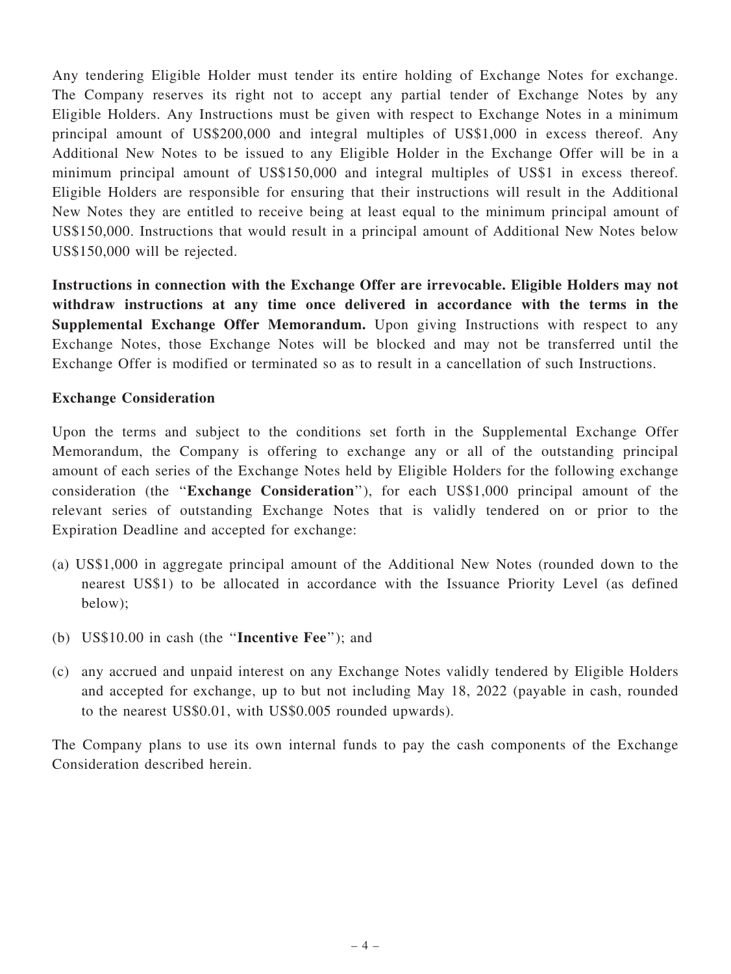Any tendering Eligible Holder must tender its entire holding of Exchange Notes for exchange. The Company reserves its right not to accept any partial tender of Exchange Notes by any Eligible Holders. Any Instructions must be given with respect to Exchange Notes in a minimum principal amount of US\$200,000 and integral multiples of US\$1,000 in excess thereof. Any Additional New Notes to be issued to any Eligible Holder in the Exchange Offer will be in a minimum principal amount of US\$150,000 and integral multiples of US\$1 in excess thereof. Eligible Holders are responsible for ensuring that their instructions will result in the Additional New Notes they are entitled to receive being at least equal to the minimum principal amount of US\$150,000. Instructions that would result in a principal amount of Additional New Notes below US\$150,000 will be rejected.

Instructions in connection with the Exchange Offer are irrevocable. Eligible Holders may not withdraw instructions at any time once delivered in accordance with the terms in the Supplemental Exchange Offer Memorandum. Upon giving Instructions with respect to any Exchange Notes, those Exchange Notes will be blocked and may not be transferred until the Exchange Offer is modified or terminated so as to result in a cancellation of such Instructions.

## Exchange Consideration

Upon the terms and subject to the conditions set forth in the Supplemental Exchange Offer Memorandum, the Company is offering to exchange any or all of the outstanding principal amount of each series of the Exchange Notes held by Eligible Holders for the following exchange consideration (the ''Exchange Consideration''), for each US\$1,000 principal amount of the relevant series of outstanding Exchange Notes that is validly tendered on or prior to the Expiration Deadline and accepted for exchange:

- (a) US\$1,000 in aggregate principal amount of the Additional New Notes (rounded down to the nearest US\$1) to be allocated in accordance with the Issuance Priority Level (as defined below);
- (b) US\$10.00 in cash (the ''Incentive Fee''); and
- (c) any accrued and unpaid interest on any Exchange Notes validly tendered by Eligible Holders and accepted for exchange, up to but not including May 18, 2022 (payable in cash, rounded to the nearest US\$0.01, with US\$0.005 rounded upwards).

The Company plans to use its own internal funds to pay the cash components of the Exchange Consideration described herein.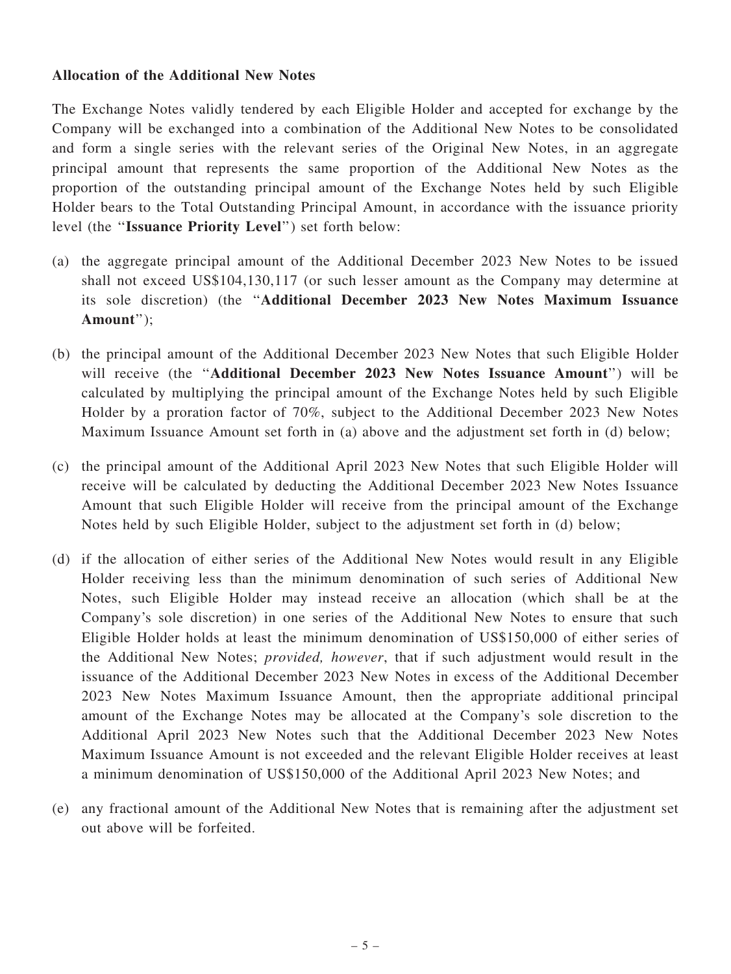#### Allocation of the Additional New Notes

The Exchange Notes validly tendered by each Eligible Holder and accepted for exchange by the Company will be exchanged into a combination of the Additional New Notes to be consolidated and form a single series with the relevant series of the Original New Notes, in an aggregate principal amount that represents the same proportion of the Additional New Notes as the proportion of the outstanding principal amount of the Exchange Notes held by such Eligible Holder bears to the Total Outstanding Principal Amount, in accordance with the issuance priority level (the ''Issuance Priority Level'') set forth below:

- (a) the aggregate principal amount of the Additional December 2023 New Notes to be issued shall not exceed US\$104,130,117 (or such lesser amount as the Company may determine at its sole discretion) (the ''Additional December 2023 New Notes Maximum Issuance Amount'');
- (b) the principal amount of the Additional December 2023 New Notes that such Eligible Holder will receive (the "Additional December 2023 New Notes Issuance Amount") will be calculated by multiplying the principal amount of the Exchange Notes held by such Eligible Holder by a proration factor of 70%, subject to the Additional December 2023 New Notes Maximum Issuance Amount set forth in (a) above and the adjustment set forth in (d) below;
- (c) the principal amount of the Additional April 2023 New Notes that such Eligible Holder will receive will be calculated by deducting the Additional December 2023 New Notes Issuance Amount that such Eligible Holder will receive from the principal amount of the Exchange Notes held by such Eligible Holder, subject to the adjustment set forth in (d) below;
- (d) if the allocation of either series of the Additional New Notes would result in any Eligible Holder receiving less than the minimum denomination of such series of Additional New Notes, such Eligible Holder may instead receive an allocation (which shall be at the Company's sole discretion) in one series of the Additional New Notes to ensure that such Eligible Holder holds at least the minimum denomination of US\$150,000 of either series of the Additional New Notes; provided, however, that if such adjustment would result in the issuance of the Additional December 2023 New Notes in excess of the Additional December 2023 New Notes Maximum Issuance Amount, then the appropriate additional principal amount of the Exchange Notes may be allocated at the Company's sole discretion to the Additional April 2023 New Notes such that the Additional December 2023 New Notes Maximum Issuance Amount is not exceeded and the relevant Eligible Holder receives at least a minimum denomination of US\$150,000 of the Additional April 2023 New Notes; and
- (e) any fractional amount of the Additional New Notes that is remaining after the adjustment set out above will be forfeited.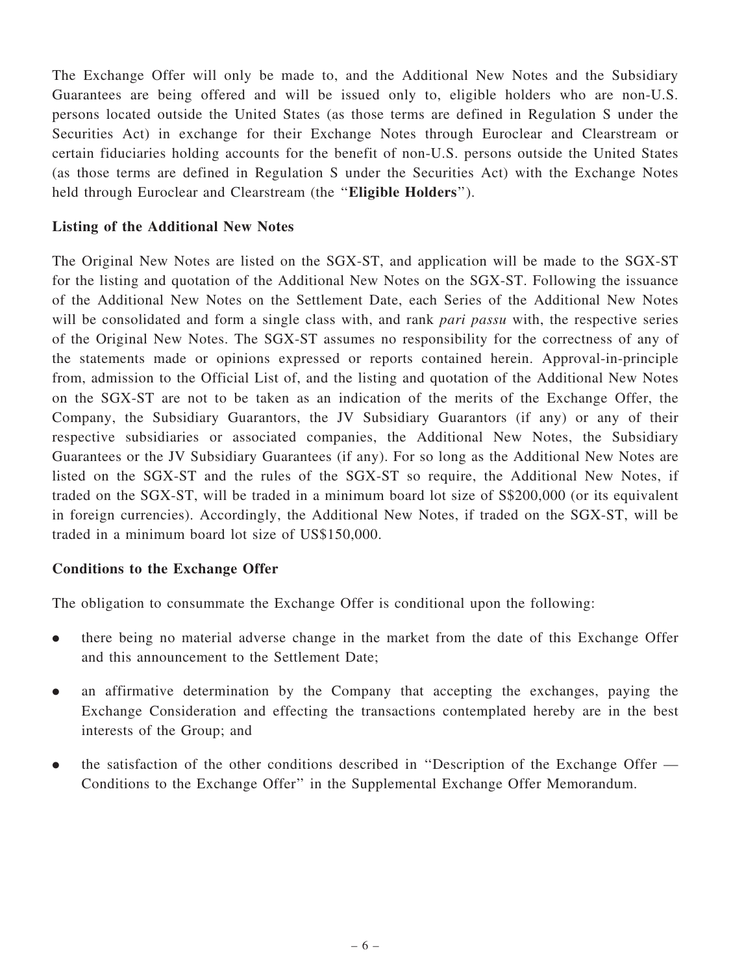The Exchange Offer will only be made to, and the Additional New Notes and the Subsidiary Guarantees are being offered and will be issued only to, eligible holders who are non-U.S. persons located outside the United States (as those terms are defined in Regulation S under the Securities Act) in exchange for their Exchange Notes through Euroclear and Clearstream or certain fiduciaries holding accounts for the benefit of non-U.S. persons outside the United States (as those terms are defined in Regulation S under the Securities Act) with the Exchange Notes held through Euroclear and Clearstream (the "Eligible Holders").

## Listing of the Additional New Notes

The Original New Notes are listed on the SGX-ST, and application will be made to the SGX-ST for the listing and quotation of the Additional New Notes on the SGX-ST. Following the issuance of the Additional New Notes on the Settlement Date, each Series of the Additional New Notes will be consolidated and form a single class with, and rank pari passu with, the respective series of the Original New Notes. The SGX-ST assumes no responsibility for the correctness of any of the statements made or opinions expressed or reports contained herein. Approval-in-principle from, admission to the Official List of, and the listing and quotation of the Additional New Notes on the SGX-ST are not to be taken as an indication of the merits of the Exchange Offer, the Company, the Subsidiary Guarantors, the JV Subsidiary Guarantors (if any) or any of their respective subsidiaries or associated companies, the Additional New Notes, the Subsidiary Guarantees or the JV Subsidiary Guarantees (if any). For so long as the Additional New Notes are listed on the SGX-ST and the rules of the SGX-ST so require, the Additional New Notes, if traded on the SGX-ST, will be traded in a minimum board lot size of S\$200,000 (or its equivalent in foreign currencies). Accordingly, the Additional New Notes, if traded on the SGX-ST, will be traded in a minimum board lot size of US\$150,000.

## Conditions to the Exchange Offer

The obligation to consummate the Exchange Offer is conditional upon the following:

- . there being no material adverse change in the market from the date of this Exchange Offer and this announcement to the Settlement Date;
- . an affirmative determination by the Company that accepting the exchanges, paying the Exchange Consideration and effecting the transactions contemplated hereby are in the best interests of the Group; and
- . the satisfaction of the other conditions described in ''Description of the Exchange Offer Conditions to the Exchange Offer'' in the Supplemental Exchange Offer Memorandum.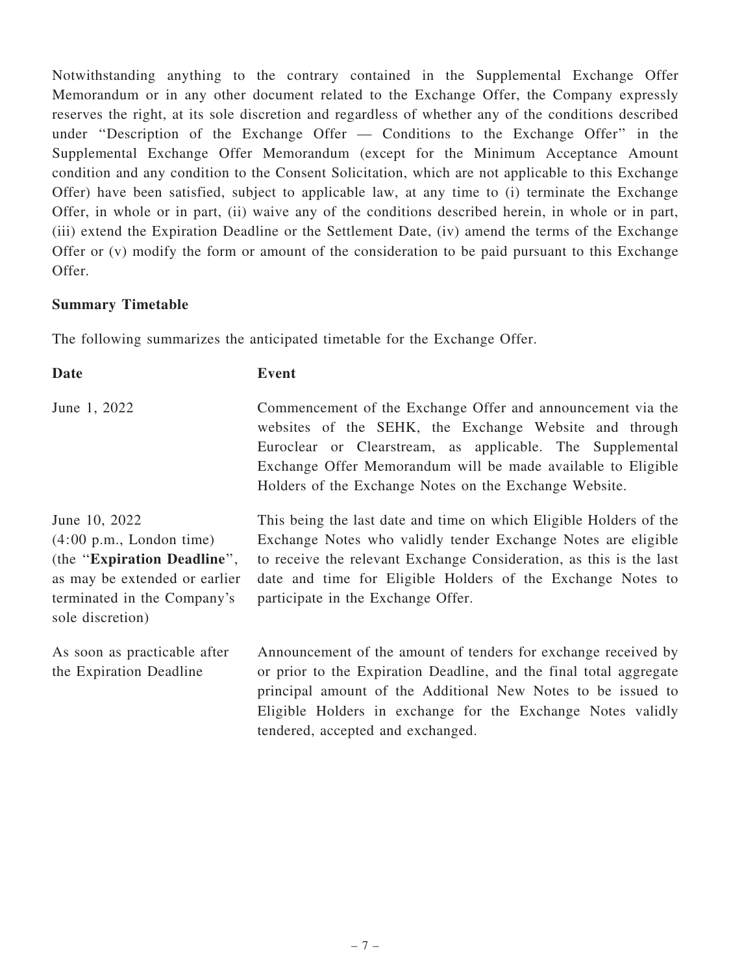Notwithstanding anything to the contrary contained in the Supplemental Exchange Offer Memorandum or in any other document related to the Exchange Offer, the Company expressly reserves the right, at its sole discretion and regardless of whether any of the conditions described under ''Description of the Exchange Offer — Conditions to the Exchange Offer'' in the Supplemental Exchange Offer Memorandum (except for the Minimum Acceptance Amount condition and any condition to the Consent Solicitation, which are not applicable to this Exchange Offer) have been satisfied, subject to applicable law, at any time to (i) terminate the Exchange Offer, in whole or in part, (ii) waive any of the conditions described herein, in whole or in part, (iii) extend the Expiration Deadline or the Settlement Date, (iv) amend the terms of the Exchange Offer or (v) modify the form or amount of the consideration to be paid pursuant to this Exchange Offer.

## Summary Timetable

The following summarizes the anticipated timetable for the Exchange Offer.

| <b>Date</b>                                                                                                                                                            | <b>Event</b>                                                                                                                                                                                                                                                                                                    |
|------------------------------------------------------------------------------------------------------------------------------------------------------------------------|-----------------------------------------------------------------------------------------------------------------------------------------------------------------------------------------------------------------------------------------------------------------------------------------------------------------|
| June 1, 2022                                                                                                                                                           | Commencement of the Exchange Offer and announcement via the<br>websites of the SEHK, the Exchange Website and through<br>Euroclear or Clearstream, as applicable. The Supplemental<br>Exchange Offer Memorandum will be made available to Eligible<br>Holders of the Exchange Notes on the Exchange Website.    |
| June 10, 2022<br>$(4:00 \text{ p.m.},$ London time)<br>(the "Expiration Deadline",<br>as may be extended or earlier<br>terminated in the Company's<br>sole discretion) | This being the last date and time on which Eligible Holders of the<br>Exchange Notes who validly tender Exchange Notes are eligible<br>to receive the relevant Exchange Consideration, as this is the last<br>date and time for Eligible Holders of the Exchange Notes to<br>participate in the Exchange Offer. |
| As soon as practicable after<br>the Expiration Deadline                                                                                                                | Announcement of the amount of tenders for exchange received by<br>or prior to the Expiration Deadline, and the final total aggregate<br>principal amount of the Additional New Notes to be issued to<br>Eligible Holders in exchange for the Exchange Notes validly<br>tendered, accepted and exchanged.        |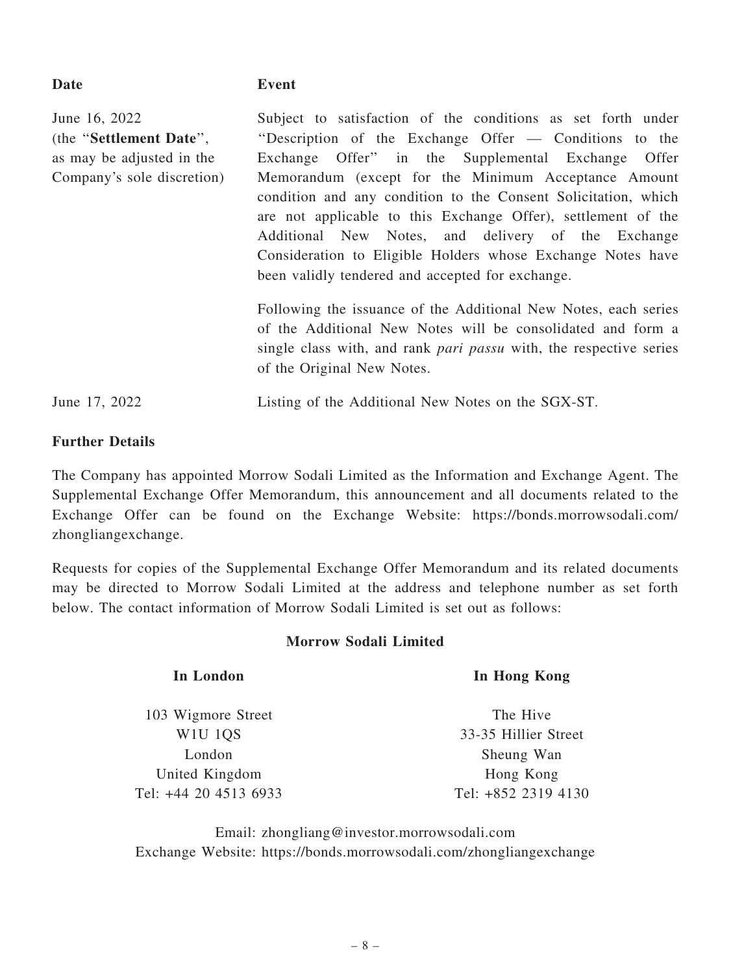| June 16, 2022<br>(the "Settlement Date",<br>as may be adjusted in the<br>Company's sole discretion) | Subject to satisfaction of the conditions as set forth under<br>"Description of the Exchange Offer — Conditions to the<br>Exchange Offer" in the Supplemental Exchange Offer<br>Memorandum (except for the Minimum Acceptance Amount                                                                     |
|-----------------------------------------------------------------------------------------------------|----------------------------------------------------------------------------------------------------------------------------------------------------------------------------------------------------------------------------------------------------------------------------------------------------------|
|                                                                                                     | condition and any condition to the Consent Solicitation, which<br>are not applicable to this Exchange Offer), settlement of the<br>Additional New Notes, and delivery of the Exchange<br>Consideration to Eligible Holders whose Exchange Notes have<br>been validly tendered and accepted for exchange. |
|                                                                                                     | Following the issuance of the Additional New Notes, each series<br>of the Additional New Notes will be consolidated and form a<br>single class with, and rank <i>pari passu</i> with, the respective series<br>of the Original New Notes.                                                                |
| June 17, 2022                                                                                       | Listing of the Additional New Notes on the SGX-ST.                                                                                                                                                                                                                                                       |

## Further Details

Date Event

The Company has appointed Morrow Sodali Limited as the Information and Exchange Agent. The Supplemental Exchange Offer Memorandum, this announcement and all documents related to the Exchange Offer can be found on the Exchange Website: [https://bonds.morrowsodali.com/](https://bonds.morrowsodali.com/zhongliangexchange) [zhongliangexchange.](https://bonds.morrowsodali.com/zhongliangexchange)

Requests for copies of the Supplemental Exchange Offer Memorandum and its related documents may be directed to Morrow Sodali Limited at the address and telephone number as set forth below. The contact information of Morrow Sodali Limited is set out as follows:

#### Morrow Sodali Limited

In London In Hong Kong

| 103 Wigmore Street                           | The Hive              |
|----------------------------------------------|-----------------------|
| W <sub>1</sub> U <sub>1</sub> O <sub>S</sub> | 33-35 Hillier Street  |
| London                                       | Sheung Wan            |
| United Kingdom                               | Hong Kong             |
| Tel: +44 20 4513 6933                        | Tel: $+852$ 2319 4130 |
|                                              |                       |

Email: zhongliang@investor.morrowsodali.com Exchange Website:<https://bonds.morrowsodali.com/zhongliangexchange>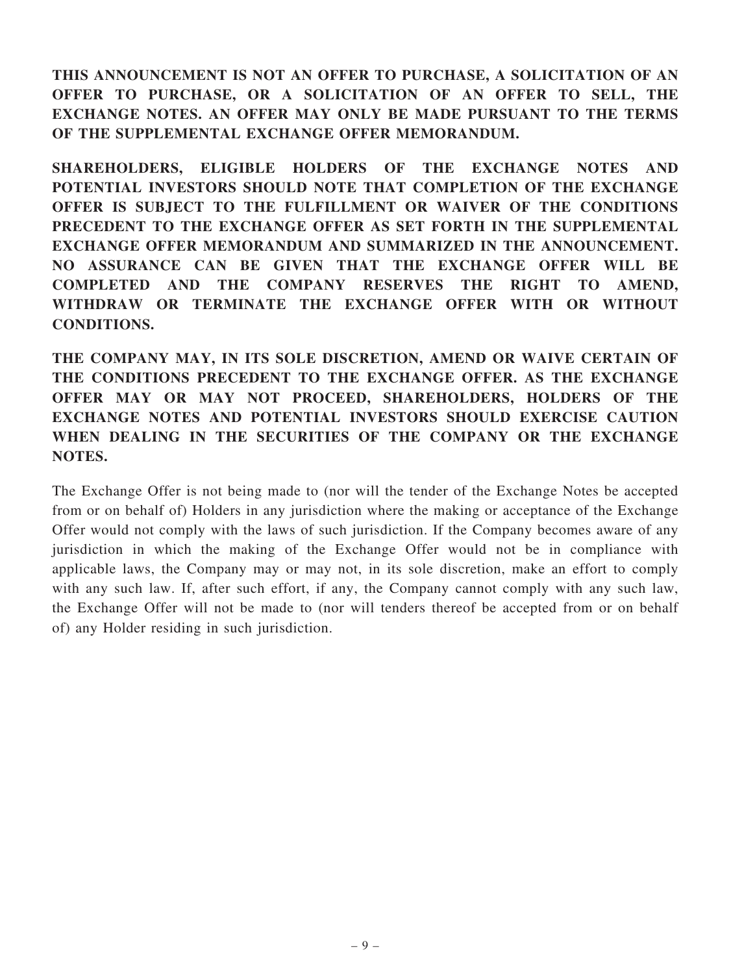THIS ANNOUNCEMENT IS NOT AN OFFER TO PURCHASE, A SOLICITATION OF AN OFFER TO PURCHASE, OR A SOLICITATION OF AN OFFER TO SELL, THE EXCHANGE NOTES. AN OFFER MAY ONLY BE MADE PURSUANT TO THE TERMS OF THE SUPPLEMENTAL EXCHANGE OFFER MEMORANDUM.

SHAREHOLDERS, ELIGIBLE HOLDERS OF THE EXCHANGE NOTES AND POTENTIAL INVESTORS SHOULD NOTE THAT COMPLETION OF THE EXCHANGE OFFER IS SUBJECT TO THE FULFILLMENT OR WAIVER OF THE CONDITIONS PRECEDENT TO THE EXCHANGE OFFER AS SET FORTH IN THE SUPPLEMENTAL EXCHANGE OFFER MEMORANDUM AND SUMMARIZED IN THE ANNOUNCEMENT. NO ASSURANCE CAN BE GIVEN THAT THE EXCHANGE OFFER WILL BE COMPLETED AND THE COMPANY RESERVES THE RIGHT TO AMEND, WITHDRAW OR TERMINATE THE EXCHANGE OFFER WITH OR WITHOUT CONDITIONS.

THE COMPANY MAY, IN ITS SOLE DISCRETION, AMEND OR WAIVE CERTAIN OF THE CONDITIONS PRECEDENT TO THE EXCHANGE OFFER. AS THE EXCHANGE OFFER MAY OR MAY NOT PROCEED, SHAREHOLDERS, HOLDERS OF THE EXCHANGE NOTES AND POTENTIAL INVESTORS SHOULD EXERCISE CAUTION WHEN DEALING IN THE SECURITIES OF THE COMPANY OR THE EXCHANGE NOTES.

The Exchange Offer is not being made to (nor will the tender of the Exchange Notes be accepted from or on behalf of) Holders in any jurisdiction where the making or acceptance of the Exchange Offer would not comply with the laws of such jurisdiction. If the Company becomes aware of any jurisdiction in which the making of the Exchange Offer would not be in compliance with applicable laws, the Company may or may not, in its sole discretion, make an effort to comply with any such law. If, after such effort, if any, the Company cannot comply with any such law, the Exchange Offer will not be made to (nor will tenders thereof be accepted from or on behalf of) any Holder residing in such jurisdiction.